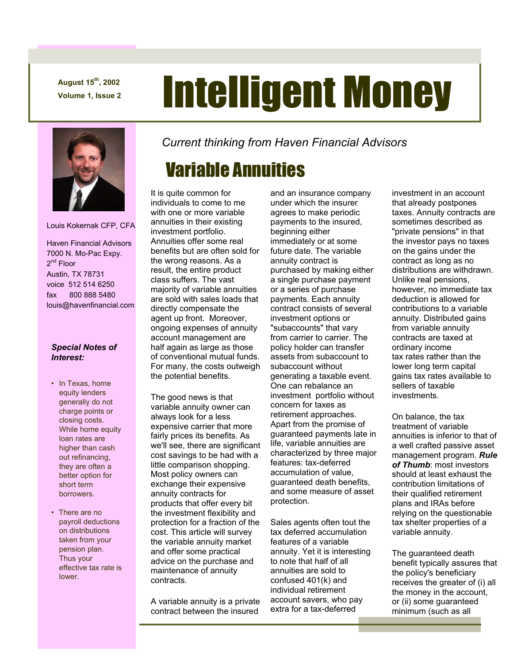**August 15th, 2002** 

# August 15<sup>th</sup>, 2002<br>Volume 1, Issue 2 **Intelligent Money**



Louis Kokernak CFP, CFA

 Haven Financial Advisors 7000 N. Mo-Pac Expy. 2<sup>nd</sup> Floor Austin, TX 78731 voice 512 514 6250 fax 800 888 5480 louis@havenfinancial.com

#### *Special Notes of Interest:*

- In Texas, home equity lenders generally do not charge points or closing costs. While home equity loan rates are higher than cash out refinancing, they are often a better option for short term borrowers.
- There are no payroll deductions on distributions taken from your pension plan. Thus your effective tax rate is lower.

*Current thinking from Haven Financial Advisors* 

## Variable Annuities

It is quite common for individuals to come to me with one or more variable annuities in their existing investment portfolio. Annuities offer some real benefits but are often sold for the wrong reasons. As a result, the entire product class suffers. The vast majority of variable annuities are sold with sales loads that directly compensate the agent up front. Moreover, ongoing expenses of annuity account management are half again as large as those of conventional mutual funds. For many, the costs outweigh the potential benefits.

The good news is that variable annuity owner can always look for a less expensive carrier that more fairly prices its benefits. As we'll see, there are significant cost savings to be had with a little comparison shopping. Most policy owners can exchange their expensive annuity contracts for products that offer every bit the investment flexibility and protection for a fraction of the cost. This article will survey the variable annuity market and offer some practical advice on the purchase and maintenance of annuity contracts.

A variable annuity is a private contract between the insured

and an insurance company under which the insurer agrees to make periodic payments to the insured, beginning either immediately or at some future date. The variable annuity contract is purchased by making either a single purchase payment or a series of purchase payments. Each annuity contract consists of several investment options or "subaccounts" that vary from carrier to carrier. The policy holder can transfer assets from subaccount to subaccount without generating a taxable event. One can rebalance an investment portfolio without concern for taxes as retirement approaches. Apart from the promise of guaranteed payments late in life, variable annuities are characterized by three major features: tax-deferred accumulation of value, guaranteed death benefits, and some measure of asset protection.

Sales agents often tout the tax deferred accumulation features of a variable annuity. Yet it is interesting to note that half of all annuities are sold to confused 401(k) and individual retirement account savers, who pay extra for a tax-deferred

investment in an account that already postpones taxes. Annuity contracts are sometimes described as "private pensions" in that the investor pays no taxes on the gains under the contract as long as no distributions are withdrawn. Unlike real pensions, however, no immediate tax deduction is allowed for contributions to a variable annuity. Distributed gains from variable annuity contracts are taxed at ordinary income tax rates rather than the lower long term capital gains tax rates available to sellers of taxable investments.

On balance, the tax treatment of variable annuities is inferior to that of a well crafted passive asset management program. *Rule of Thumb*: most investors should at least exhaust the contribution limitations of their qualified retirement plans and IRAs before relying on the questionable tax shelter properties of a variable annuity.

The guaranteed death benefit typically assures that the policy's beneficiary receives the greater of (i) all the money in the account, or (ii) some guaranteed minimum (such as all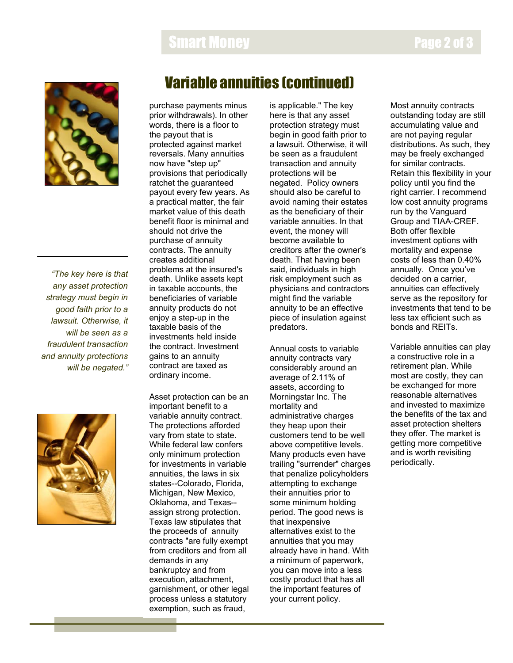### Smart Money



*"The key here is that any asset protection strategy must begin in good faith prior to a lawsuit. Otherwise, it will be seen as a fraudulent transaction and annuity protections will be negated."* 



#### Variable annuities (continued)

purchase payments minus prior withdrawals). In other words, there is a floor to the payout that is protected against market reversals. Many annuities now have "step up" provisions that periodically ratchet the guaranteed payout every few years. As a practical matter, the fair market value of this death benefit floor is minimal and should not drive the purchase of annuity contracts. The annuity creates additional problems at the insured's death. Unlike assets kept in taxable accounts, the beneficiaries of variable annuity products do not enjoy a step-up in the taxable basis of the investments held inside the contract. Investment gains to an annuity contract are taxed as ordinary income.

Asset protection can be an important benefit to a variable annuity contract. The protections afforded vary from state to state. While federal law confers only minimum protection for investments in variable annuities, the laws in six states--Colorado, Florida, Michigan, New Mexico, Oklahoma, and Texas- assign strong protection. Texas law stipulates that the proceeds of annuity contracts "are fully exempt from creditors and from all demands in any bankruptcy and from execution, attachment, garnishment, or other legal process unless a statutory exemption, such as fraud,

is applicable." The key here is that any asset protection strategy must begin in good faith prior to a lawsuit. Otherwise, it will be seen as a fraudulent transaction and annuity protections will be negated. Policy owners should also be careful to avoid naming their estates as the beneficiary of their variable annuities. In that event, the money will become available to creditors after the owner's death. That having been said, individuals in high risk employment such as physicians and contractors might find the variable annuity to be an effective piece of insulation against predators.

Annual costs to variable annuity contracts vary considerably around an average of 2.11% of assets, according to Morningstar Inc. The mortality and administrative charges they heap upon their customers tend to be well above competitive levels. Many products even have trailing "surrender" charges that penalize policyholders attempting to exchange their annuities prior to some minimum holding period. The good news is that inexpensive alternatives exist to the annuities that you may already have in hand. With a minimum of paperwork, you can move into a less costly product that has all the important features of your current policy.

Most annuity contracts outstanding today are still accumulating value and are not paying regular distributions. As such, they may be freely exchanged for similar contracts. Retain this flexibility in your policy until you find the right carrier. I recommend low cost annuity programs run by the Vanguard Group and TIAA-CREF. Both offer flexible investment options with mortality and expense costs of less than 0.40% annually. Once you've decided on a carrier, annuities can effectively serve as the repository for investments that tend to be less tax efficient such as bonds and REITs.

Variable annuities can play a constructive role in a retirement plan. While most are costly, they can be exchanged for more reasonable alternatives and invested to maximize the benefits of the tax and asset protection shelters they offer. The market is getting more competitive and is worth revisiting periodically.